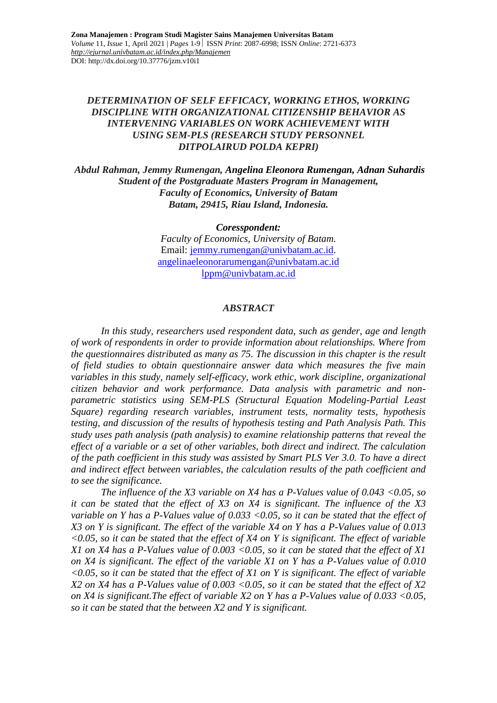## *DETERMINATION OF SELF EFFICACY, WORKING ETHOS, WORKING DISCIPLINE WITH ORGANIZATIONAL CITIZENSHIP BEHAVIOR AS INTERVENING VARIABLES ON WORK ACHIEVEMENT WITH USING SEM-PLS (RESEARCH STUDY PERSONNEL DITPOLAIRUD POLDA KEPRI)*

*Abdul Rahman, Jemmy Rumengan, Angelina Eleonora Rumengan, Adnan Suhardis Student of the Postgraduate Masters Program in Management, Faculty of Economics, University of Batam Batam, 29415, Riau Island, Indonesia.*

*Coresspondent:*

*Faculty of Economics, University of Batam.* Email: [jemmy.rumengan@univbatam.ac.id.](mailto:jemmy.rumengan@univbatam.ac.id) [angelinaeleonorarumengan@univbatam.ac.id](mailto:angelinaeleonorarumengan@univbatam.ac.id) [lppm@univbatam.ac.id](mailto:lppm@univbatam.ac.id)

#### *ABSTRACT*

*In this study, researchers used respondent data, such as gender, age and length of work of respondents in order to provide information about relationships. Where from the questionnaires distributed as many as 75. The discussion in this chapter is the result of field studies to obtain questionnaire answer data which measures the five main variables in this study, namely self-efficacy, work ethic, work discipline, organizational citizen behavior and work performance. Data analysis with parametric and nonparametric statistics using SEM-PLS (Structural Equation Modeling-Partial Least Square) regarding research variables, instrument tests, normality tests, hypothesis testing, and discussion of the results of hypothesis testing and Path Analysis Path. This study uses path analysis (path analysis) to examine relationship patterns that reveal the effect of a variable or a set of other variables, both direct and indirect. The calculation of the path coefficient in this study was assisted by Smart PLS Ver 3.0. To have a direct and indirect effect between variables, the calculation results of the path coefficient and to see the significance.*

*The influence of the X3 variable on X4 has a P-Values value of 0.043 <0.05, so it can be stated that the effect of X3 on X4 is significant. The influence of the X3 variable on Y has a P-Values value of 0.033 <0.05, so it can be stated that the effect of X3 on Y is significant. The effect of the variable X4 on Y has a P-Values value of 0.013 <0.05, so it can be stated that the effect of X4 on Y is significant. The effect of variable X1 on X4 has a P-Values value of 0.003 <0.05, so it can be stated that the effect of X1 on X4 is significant. The effect of the variable X1 on Y has a P-Values value of 0.010 <0.05, so it can be stated that the effect of X1 on Y is significant. The effect of variable X2 on X4 has a P-Values value of 0.003 <0.05, so it can be stated that the effect of X2 on X4 is significant.The effect of variable X2 on Y has a P-Values value of 0.033 <0.05, so it can be stated that the between X2 and Y is significant.*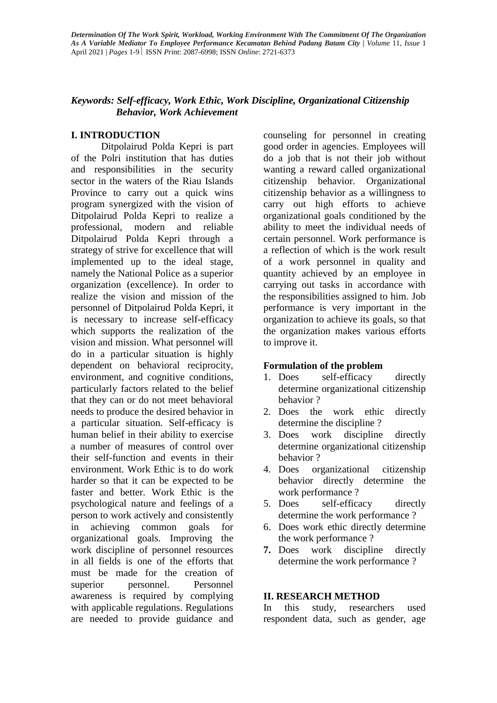## *Keywords: Self-efficacy, Work Ethic, Work Discipline, Organizational Citizenship Behavior, Work Achievement*

### **I. INTRODUCTION**

Ditpolairud Polda Kepri is part of the Polri institution that has duties and responsibilities in the security sector in the waters of the Riau Islands Province to carry out a quick wins program synergized with the vision of Ditpolairud Polda Kepri to realize a professional, modern and reliable Ditpolairud Polda Kepri through a strategy of strive for excellence that will implemented up to the ideal stage, namely the National Police as a superior organization (excellence). In order to realize the vision and mission of the personnel of Ditpolairud Polda Kepri, it is necessary to increase self-efficacy which supports the realization of the vision and mission. What personnel will do in a particular situation is highly dependent on behavioral reciprocity, environment, and cognitive conditions, particularly factors related to the belief that they can or do not meet behavioral needs to produce the desired behavior in a particular situation. Self-efficacy is human belief in their ability to exercise a number of measures of control over their self-function and events in their environment. Work Ethic is to do work harder so that it can be expected to be faster and better. Work Ethic is the psychological nature and feelings of a person to work actively and consistently in achieving common goals for organizational goals. Improving the work discipline of personnel resources in all fields is one of the efforts that must be made for the creation of superior personnel. Personnel awareness is required by complying with applicable regulations. Regulations are needed to provide guidance and

counseling for personnel in creating good order in agencies. Employees will do a job that is not their job without wanting a reward called organizational citizenship behavior. Organizational citizenship behavior as a willingness to carry out high efforts to achieve organizational goals conditioned by the ability to meet the individual needs of certain personnel. Work performance is a reflection of which is the work result of a work personnel in quality and quantity achieved by an employee in carrying out tasks in accordance with the responsibilities assigned to him. Job performance is very important in the organization to achieve its goals, so that the organization makes various efforts to improve it.

### **Formulation of the problem**

- 1. Does self-efficacy directly determine organizational citizenship behavior ?
- 2. Does the work ethic directly determine the discipline ?
- 3. Does work discipline directly determine organizational citizenship behavior ?
- 4. Does organizational citizenship behavior directly determine the work performance ?
- 5. Does self-efficacy directly determine the work performance ?
- 6. Does work ethic directly determine the work performance ?
- **7.** Does work discipline directly determine the work performance ?

### **II. RESEARCH METHOD**

In this study, researchers used respondent data, such as gender, age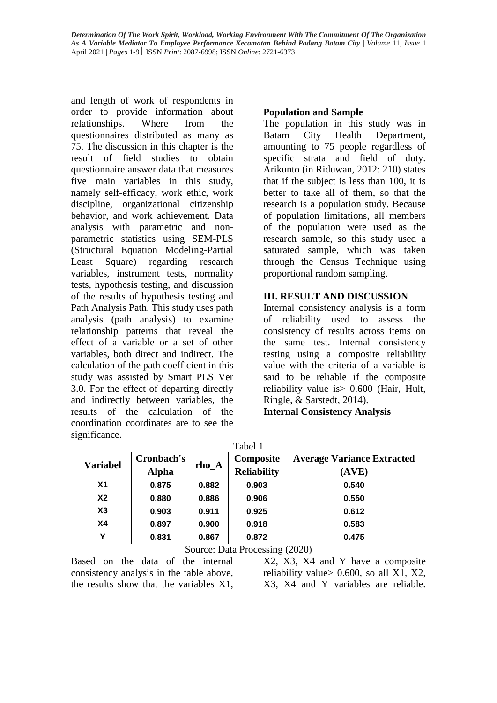and length of work of respondents in order to provide information about relationships. Where from the questionnaires distributed as many as 75. The discussion in this chapter is the result of field studies to obtain questionnaire answer data that measures five main variables in this study, namely self-efficacy, work ethic, work discipline, organizational citizenship behavior, and work achievement. Data analysis with parametric and nonparametric statistics using SEM-PLS (Structural Equation Modeling-Partial Least Square) regarding research variables, instrument tests, normality tests, hypothesis testing, and discussion of the results of hypothesis testing and Path Analysis Path. This study uses path analysis (path analysis) to examine relationship patterns that reveal the effect of a variable or a set of other variables, both direct and indirect. The calculation of the path coefficient in this study was assisted by Smart PLS Ver 3.0. For the effect of departing directly and indirectly between variables, the results of the calculation of the coordination coordinates are to see the significance.

## **Population and Sample**

The population in this study was in Batam City Health Department, amounting to 75 people regardless of specific strata and field of duty. Arikunto (in Riduwan, 2012: 210) states that if the subject is less than 100, it is better to take all of them, so that the research is a population study. Because of population limitations, all members of the population were used as the research sample, so this study used a saturated sample, which was taken through the Census Technique using proportional random sampling.

## **III. RESULT AND DISCUSSION**

Internal consistency analysis is a form of reliability used to assess the consistency of results across items on the same test. Internal consistency testing using a composite reliability value with the criteria of a variable is said to be reliable if the composite reliability value is> 0.600 (Hair, Hult, Ringle, & Sarstedt, 2014). **Internal Consistency Analysis**

Tabel 1 **Variabel Cronbach's**   $rho_A$  **Composite Reliability Average Variance Extracted (AVE) X1 0.875 0.882 0.903 0.540 X2 0.880 0.886 0.906 0.550 X3 0.903 0.911 0.925 0.612 X4 0.897 0.900 0.918 0.583 Y 0.831 0.867 0.872 0.475**

Source: Data Processing (2020)

Based on the data of the internal consistency analysis in the table above, the results show that the variables X1,

X2, X3, X4 and Y have a composite reliability value  $> 0.600$ , so all X1, X2, X3, X4 and Y variables are reliable.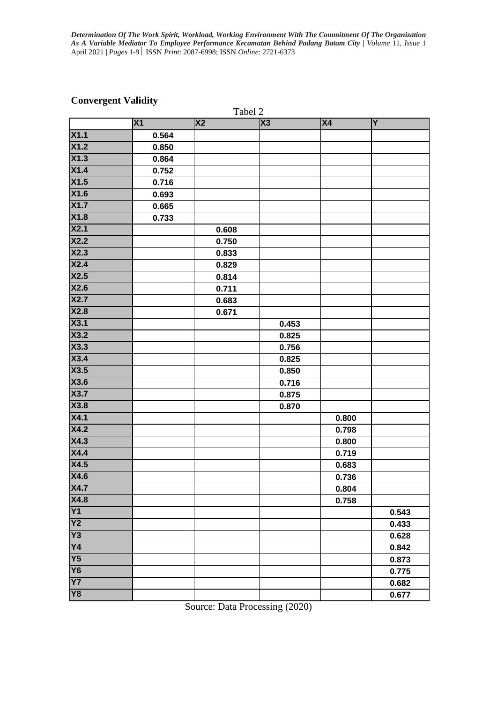# **Convergent Validity**

| Tabel 2         |                |           |       |           |       |  |
|-----------------|----------------|-----------|-------|-----------|-------|--|
|                 | X <sub>1</sub> | <b>X2</b> | X3    | <b>X4</b> | Y     |  |
| <b>X1.1</b>     | 0.564          |           |       |           |       |  |
| X1.2            | 0.850          |           |       |           |       |  |
| X1.3            | 0.864          |           |       |           |       |  |
| X1.4            | 0.752          |           |       |           |       |  |
| X1.5            | 0.716          |           |       |           |       |  |
| <b>X1.6</b>     | 0.693          |           |       |           |       |  |
| X1.7            | 0.665          |           |       |           |       |  |
| X1.8            | 0.733          |           |       |           |       |  |
| X2.1            |                | 0.608     |       |           |       |  |
| X2.2            |                | 0.750     |       |           |       |  |
| X2.3            |                | 0.833     |       |           |       |  |
| X2.4            |                | 0.829     |       |           |       |  |
| X2.5            |                | 0.814     |       |           |       |  |
| X2.6            |                | 0.711     |       |           |       |  |
| <b>X2.7</b>     |                | 0.683     |       |           |       |  |
| <b>X2.8</b>     |                | 0.671     |       |           |       |  |
| X3.1            |                |           | 0.453 |           |       |  |
| <b>X3.2</b>     |                |           | 0.825 |           |       |  |
| X3.3            |                |           | 0.756 |           |       |  |
| X3.4            |                |           | 0.825 |           |       |  |
| X3.5            |                |           | 0.850 |           |       |  |
| X3.6            |                |           | 0.716 |           |       |  |
| <b>X3.7</b>     |                |           | 0.875 |           |       |  |
| <b>X3.8</b>     |                |           | 0.870 |           |       |  |
| X4.1            |                |           |       | 0.800     |       |  |
| <b>X4.2</b>     |                |           |       | 0.798     |       |  |
| X4.3            |                |           |       | 0.800     |       |  |
| X4.4            |                |           |       | 0.719     |       |  |
| X4.5            |                |           |       | 0.683     |       |  |
| X4.6            |                |           |       | 0.736     |       |  |
| X4.7            |                |           |       | 0.804     |       |  |
| <b>X4.8</b>     |                |           |       | 0.758     |       |  |
| <b>Y1</b>       |                |           |       |           | 0.543 |  |
| $\overline{Y2}$ |                |           |       |           | 0.433 |  |
| Y3              |                |           |       |           | 0.628 |  |
| $\overline{Y4}$ |                |           |       |           | 0.842 |  |
| $\overline{Y5}$ |                |           |       |           | 0.873 |  |
| <b>Y6</b>       |                |           |       |           | 0.775 |  |
| $\overline{Y}$  |                |           |       |           | 0.682 |  |
| Y8              |                |           |       |           | 0.677 |  |

Source: Data Processing (2020)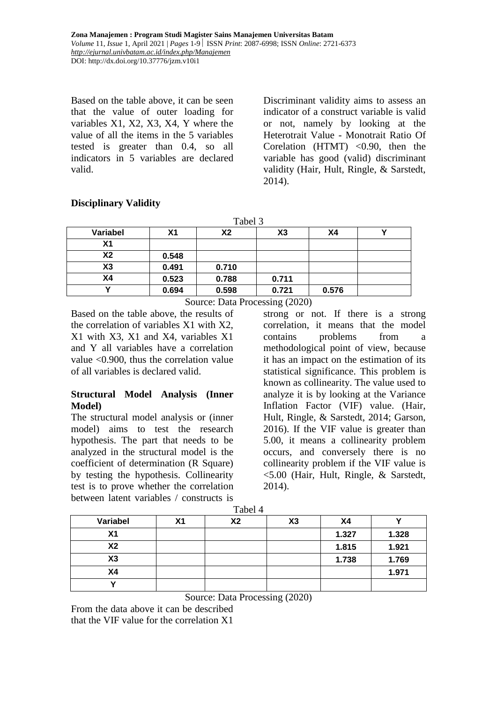**Zona Manajemen : Program Studi Magister Sains Manajemen Universitas Batam** *Volume* 11, *Issue* 1, April 2021 | *Pages* 1-9 ISSN *Print*: 2087-6998; ISSN *Online*: 2721-6373 *<http://ejurnal.univbatam.ac.id/index.php/Manajemen>* DOI: http://dx.doi.org/10.37776/jzm.v10i1

Based on the table above, it can be seen that the value of outer loading for variables X1, X2, X3, X4, Y where the value of all the items in the 5 variables tested is greater than 0.4, so all indicators in 5 variables are declared valid.

Discriminant validity aims to assess an indicator of a construct variable is valid or not, namely by looking at the Heterotrait Value - Monotrait Ratio Of Corelation  $(HTML)$  <0.90, then the variable has good (valid) discriminant validity (Hair, Hult, Ringle, & Sarstedt, 2014).

## **Disciplinary Validity**

| Tabel 3        |                |                |       |       |  |  |
|----------------|----------------|----------------|-------|-------|--|--|
| Variabel       | X <sub>1</sub> | X <sub>2</sub> | X3    | Χ4    |  |  |
| X <sub>1</sub> |                |                |       |       |  |  |
| <b>X2</b>      | 0.548          |                |       |       |  |  |
| X3             | 0.491          | 0.710          |       |       |  |  |
| X4             | 0.523          | 0.788          | 0.711 |       |  |  |
| v              | 0.694          | 0.598          | 0.721 | 0.576 |  |  |

Source: Data Processing (2020)

Based on the table above, the results of the correlation of variables X1 with X2, X1 with X3, X1 and X4, variables X1 and Y all variables have a correlation value <0.900, thus the correlation value of all variables is declared valid.

## **Structural Model Analysis (Inner Model)**

The structural model analysis or (inner model) aims to test the research hypothesis. The part that needs to be analyzed in the structural model is the coefficient of determination (R Square) by testing the hypothesis. Collinearity test is to prove whether the correlation between latent variables / constructs is

strong or not. If there is a strong correlation, it means that the model contains problems from a methodological point of view, because it has an impact on the estimation of its statistical significance. This problem is known as collinearity. The value used to analyze it is by looking at the Variance Inflation Factor (VIF) value. (Hair, Hult, Ringle, & Sarstedt, 2014; Garson, 2016). If the VIF value is greater than 5.00, it means a collinearity problem occurs, and conversely there is no collinearity problem if the VIF value is <5.00 (Hair, Hult, Ringle, & Sarstedt, 2014).

| 1 UU VI I |    |    |    |           |       |
|-----------|----|----|----|-----------|-------|
| Variabel  | Χ1 | X2 | X3 | <b>X4</b> |       |
| X1        |    |    |    | 1.327     | 1.328 |
| <b>X2</b> |    |    |    | 1.815     | 1.921 |
| X3        |    |    |    | 1.738     | 1.769 |
| X4        |    |    |    |           | 1.971 |
|           |    |    |    |           |       |

Tabel 4

Source: Data Processing (2020)

From the data above it can be described that the VIF value for the correlation X1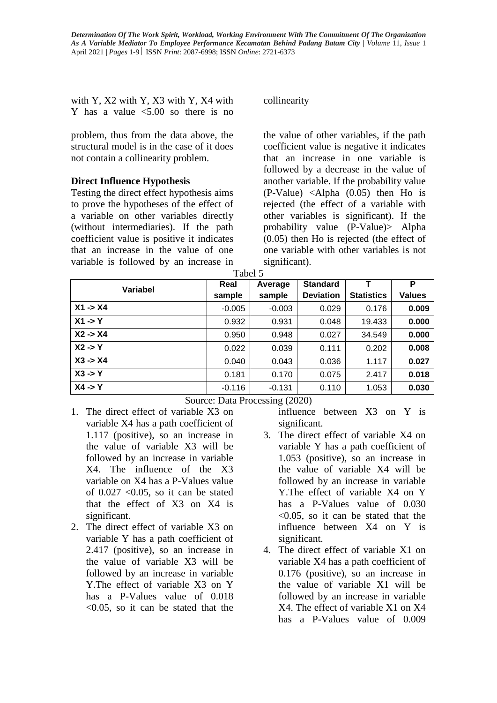with Y, X2 with Y, X3 with Y, X4 with Y has a value  $\leq 5.00$  so there is no

problem, thus from the data above, the structural model is in the case of it does not contain a collinearity problem.

### **Direct Influence Hypothesis**

Testing the direct effect hypothesis aims to prove the hypotheses of the effect of a variable on other variables directly (without intermediaries). If the path coefficient value is positive it indicates that an increase in the value of one variable is followed by an increase in collinearity

the value of other variables, if the path coefficient value is negative it indicates that an increase in one variable is followed by a decrease in the value of another variable. If the probability value (P-Value) <Alpha (0.05) then Ho is rejected (the effect of a variable with other variables is significant). If the probability value (P-Value)> Alpha (0.05) then Ho is rejected (the effect of one variable with other variables is not significant).

| <b>Variabel</b>    | Real     | Average  | <b>Standard</b>  |                   | P      |
|--------------------|----------|----------|------------------|-------------------|--------|
|                    | sample   | sample   | <b>Deviation</b> | <b>Statistics</b> | Values |
| $X1 - > X4$        | $-0.005$ | $-0.003$ | 0.029            | 0.176             | 0.009  |
| $X1 \rightarrow Y$ | 0.932    | 0.931    | 0.048            | 19.433            | 0.000  |
| $X2 - > X4$        | 0.950    | 0.948    | 0.027            | 34.549            | 0.000  |
| $X2 \rightarrow Y$ | 0.022    | 0.039    | 0.111            | 0.202             | 0.008  |
| $X3 - > X4$        | 0.040    | 0.043    | 0.036            | 1.117             | 0.027  |
| $X3 \rightarrow Y$ | 0.181    | 0.170    | 0.075            | 2.417             | 0.018  |
| $X4 \rightarrow Y$ | $-0.116$ | $-0.131$ | 0.110            | 1.053             | 0.030  |

Source: Data Processing (2020)

- 1. The direct effect of variable X3 on variable X4 has a path coefficient of 1.117 (positive), so an increase in the value of variable X3 will be followed by an increase in variable X4. The influence of the X3 variable on X4 has a P-Values value of  $0.027$  <  $0.05$ , so it can be stated that the effect of X3 on X4 is significant.
- 2. The direct effect of variable X3 on variable Y has a path coefficient of 2.417 (positive), so an increase in the value of variable X3 will be followed by an increase in variable Y.The effect of variable X3 on Y has a P-Values value of  $0.018$  $< 0.05$ , so it can be stated that the

influence between X3 on Y is significant.

- 3. The direct effect of variable X4 on variable Y has a path coefficient of 1.053 (positive), so an increase in the value of variable X4 will be followed by an increase in variable Y.The effect of variable X4 on Y has a P-Values value of 0.030 <0.05, so it can be stated that the influence between X4 on Y is significant.
- 4. The direct effect of variable X1 on variable X4 has a path coefficient of 0.176 (positive), so an increase in the value of variable X1 will be followed by an increase in variable X4. The effect of variable X1 on X4 has a P-Values value of 0.009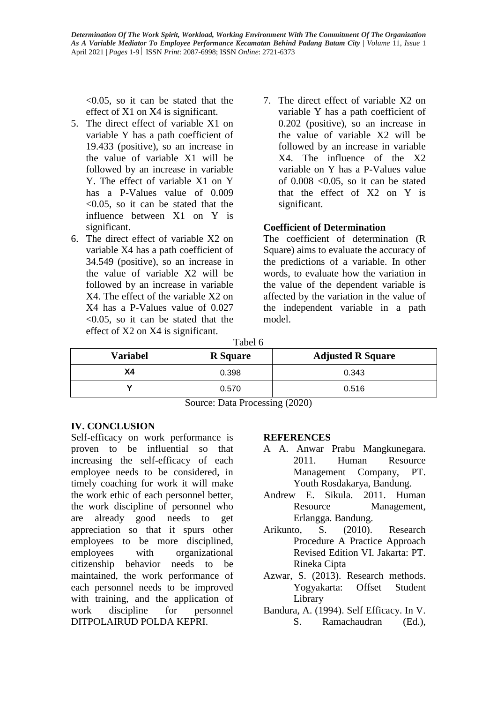<0.05, so it can be stated that the effect of X1 on X4 is significant.

- 5. The direct effect of variable X1 on variable Y has a path coefficient of 19.433 (positive), so an increase in the value of variable X1 will be followed by an increase in variable Y. The effect of variable X1 on Y has a P-Values value of  $0.009$ <0.05, so it can be stated that the influence between X1 on Y is significant.
- 6. The direct effect of variable X2 on variable X4 has a path coefficient of 34.549 (positive), so an increase in the value of variable X2 will be followed by an increase in variable X4. The effect of the variable X2 on X4 has a P-Values value of 0.027 <0.05, so it can be stated that the effect of X2 on X4 is significant.
- 7. The direct effect of variable X2 on variable Y has a path coefficient of 0.202 (positive), so an increase in the value of variable X2 will be followed by an increase in variable X4. The influence of the X2 variable on Y has a P-Values value of  $0.008$  <  $0.05$ , so it can be stated that the effect of X2 on Y is significant.

## **Coefficient of Determination**

The coefficient of determination (R Square) aims to evaluate the accuracy of the predictions of a variable. In other words, to evaluate how the variation in the value of the dependent variable is affected by the variation in the value of the independent variable in a path model.

Tabel 6

| <b>Variabel</b> | <b>R</b> Square | <b>Adjusted R Square</b> |
|-----------------|-----------------|--------------------------|
| Χ4              | 0.398           | 0.343                    |
|                 | 0.570           | 0.516                    |

Source: Data Processing (2020)

### **IV. CONCLUSION**

Self-efficacy on work performance is proven to be influential so that increasing the self-efficacy of each employee needs to be considered, in timely coaching for work it will make the work ethic of each personnel better, the work discipline of personnel who are already good needs to get appreciation so that it spurs other employees to be more disciplined, employees with organizational citizenship behavior needs to be maintained, the work performance of each personnel needs to be improved with training, and the application of work discipline for personnel DITPOLAIRUD POLDA KEPRI.

### **REFERENCES**

- A A. Anwar Prabu Mangkunegara. 2011. Human Resource Management Company, PT. Youth Rosdakarya, Bandung.
- Andrew E. Sikula. 2011. Human Resource Management, Erlangga. Bandung.
- Arikunto, S. (2010). Research Procedure A Practice Approach Revised Edition VI. Jakarta: PT. Rineka Cipta
- Azwar, S. (2013). Research methods. Yogyakarta: Offset Student Library
- Bandura, A. (1994). Self Efficacy. In V. S. Ramachaudran (Ed.),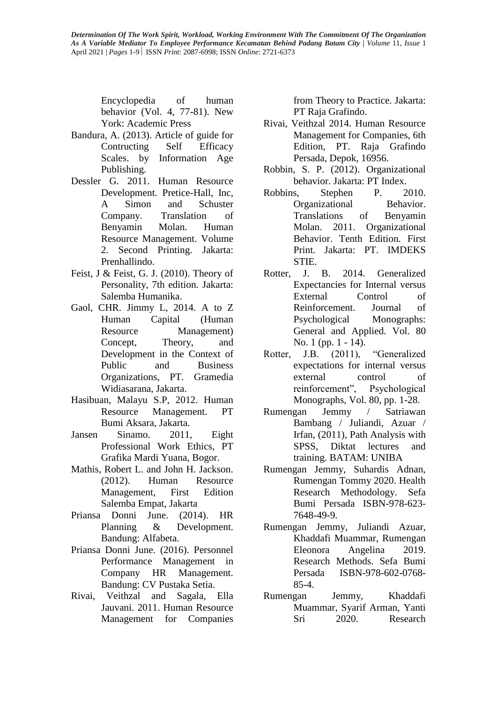Encyclopedia of human behavior (Vol. 4, 77-81). New York: Academic Press

- Bandura, A. (2013). Article of guide for Contructing Self Efficacy Scales. by Information Age Publishing.
- Dessler G. 2011. Human Resource Development. Pretice-Hall, Inc, A Simon and Schuster Company. Translation of Benyamin Molan. Human Resource Management. Volume 2. Second Printing. Jakarta: Prenhallindo.
- Feist, J & Feist, G. J. (2010). Theory of Personality, 7th edition. Jakarta: Salemba Humanika.
- Gaol, CHR. Jimmy L, 2014. A to Z Human Capital (Human Resource Management) Concept, Theory, and Development in the Context of Public and Business Organizations, PT. Gramedia Widiasarana, Jakarta.
- Hasibuan, Malayu S.P, 2012. Human Resource Management. PT Bumi Aksara, Jakarta.
- Jansen Sinamo. 2011, Eight Professional Work Ethics, PT Grafika Mardi Yuana, Bogor.
- Mathis, Robert L. and John H. Jackson. (2012). Human Resource Management, First Edition Salemba Empat, Jakarta
- Priansa Donni June. (2014). HR Planning & Development. Bandung: Alfabeta.
- Priansa Donni June. (2016). Personnel Performance Management in Company HR Management. Bandung: CV Pustaka Setia.
- Rivai, Veithzal and Sagala, Ella Jauvani. 2011. Human Resource Management for Companies

from Theory to Practice. Jakarta: PT Raja Grafindo.

- Rivai, Veithzal 2014. Human Resource Management for Companies, 6th Edition, PT. Raja Grafindo Persada, Depok, 16956.
- Robbin, S. P. (2012). Organizational behavior. Jakarta: PT Index.
- Robbins, Stephen P. 2010. Organizational Behavior. Translations of Benyamin Molan. 2011. Organizational Behavior. Tenth Edition. First Print. Jakarta: PT. IMDEKS STIE.
- Rotter, J. B. 2014. Generalized Expectancies for Internal versus External Control of Reinforcement. Journal of Psychological Monographs: General and Applied. Vol. 80 No. 1 (pp. 1 - 14).
- Rotter, J.B. (2011), "Generalized expectations for internal versus external control of reinforcement", Psychological Monographs, Vol. 80, pp. 1-28.
- Rumengan Jemmy / Satriawan Bambang / Juliandi, Azuar / Irfan, (2011), Path Analysis with SPSS, Diktat lectures and training. BATAM: UNIBA
- Rumengan Jemmy, Suhardis Adnan, Rumengan Tommy 2020. Health Research Methodology. Sefa Bumi Persada ISBN-978-623- 7648-49-9.
- Rumengan Jemmy, Juliandi Azuar, Khaddafi Muammar, Rumengan Eleonora Angelina 2019. Research Methods. Sefa Bumi Persada ISBN-978-602-0768- 85-4.
- Rumengan Jemmy, Khaddafi Muammar, Syarif Arman, Yanti Sri 2020. Research